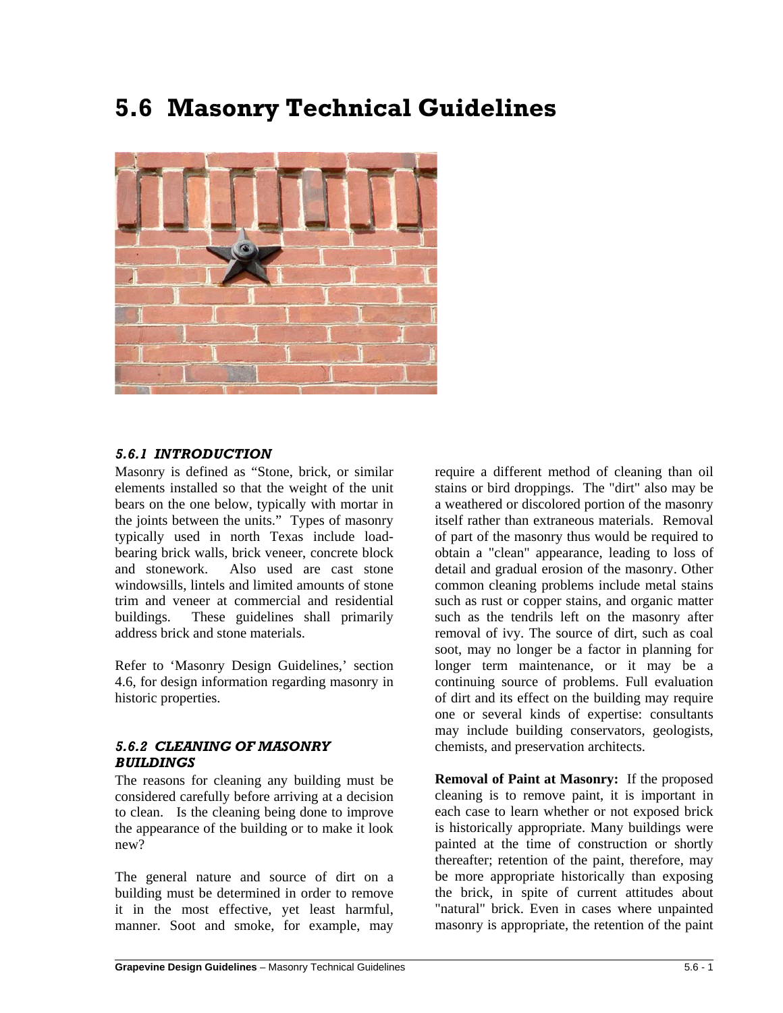# **5.6 Masonry Technical Guidelines**



#### *5.6.1 INTRODUCTION*

Masonry is defined as "Stone, brick, or similar elements installed so that the weight of the unit bears on the one below, typically with mortar in the joints between the units." Types of masonry typically used in north Texas include loadbearing brick walls, brick veneer, concrete block and stonework. Also used are cast stone windowsills, lintels and limited amounts of stone trim and veneer at commercial and residential buildings. These guidelines shall primarily address brick and stone materials.

Refer to 'Masonry Design Guidelines,' section 4.6, for design information regarding masonry in historic properties.

#### *5.6.2 CLEANING OF MASONRY BUILDINGS*

The reasons for cleaning any building must be considered carefully before arriving at a decision to clean. Is the cleaning being done to improve the appearance of the building or to make it look new?

The general nature and source of dirt on a building must be determined in order to remove it in the most effective, yet least harmful, manner. Soot and smoke, for example, may

require a different method of cleaning than oil stains or bird droppings. The "dirt" also may be a weathered or discolored portion of the masonry itself rather than extraneous materials. Removal of part of the masonry thus would be required to obtain a "clean" appearance, leading to loss of detail and gradual erosion of the masonry. Other common cleaning problems include metal stains such as rust or copper stains, and organic matter such as the tendrils left on the masonry after removal of ivy. The source of dirt, such as coal soot, may no longer be a factor in planning for longer term maintenance, or it may be a continuing source of problems. Full evaluation of dirt and its effect on the building may require one or several kinds of expertise: consultants may include building conservators, geologists, chemists, and preservation architects.

**Removal of Paint at Masonry:** If the proposed cleaning is to remove paint, it is important in each case to learn whether or not exposed brick is historically appropriate. Many buildings were painted at the time of construction or shortly thereafter; retention of the paint, therefore, may be more appropriate historically than exposing the brick, in spite of current attitudes about "natural" brick. Even in cases where unpainted masonry is appropriate, the retention of the paint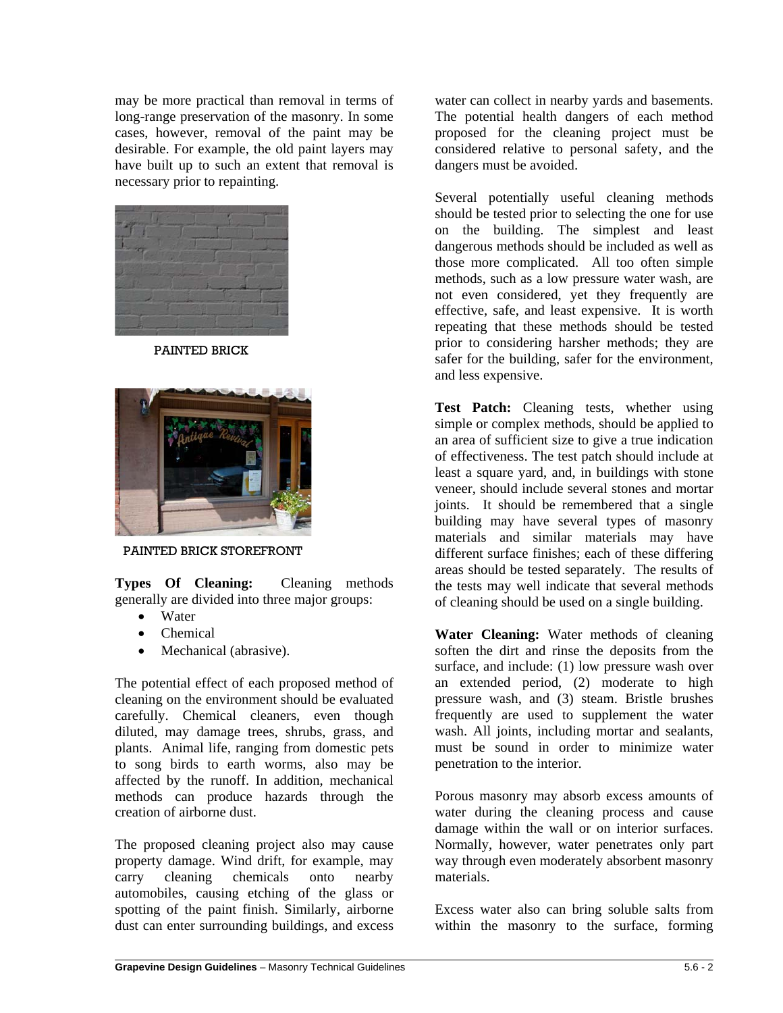may be more practical than removal in terms of long-range preservation of the masonry. In some cases, however, removal of the paint may be desirable. For example, the old paint layers may have built up to such an extent that removal is necessary prior to repainting.



PAINTED BRICK



PAINTED BRICK STOREFRONT

**Types Of Cleaning:** Cleaning methods generally are divided into three major groups:

- Water
- Chemical
- Mechanical (abrasive).

The potential effect of each proposed method of cleaning on the environment should be evaluated carefully. Chemical cleaners, even though diluted, may damage trees, shrubs, grass, and plants. Animal life, ranging from domestic pets to song birds to earth worms, also may be affected by the runoff. In addition, mechanical methods can produce hazards through the creation of airborne dust.

The proposed cleaning project also may cause property damage. Wind drift, for example, may carry cleaning chemicals onto nearby automobiles, causing etching of the glass or spotting of the paint finish. Similarly, airborne dust can enter surrounding buildings, and excess water can collect in nearby yards and basements. The potential health dangers of each method proposed for the cleaning project must be considered relative to personal safety, and the dangers must be avoided.

Several potentially useful cleaning methods should be tested prior to selecting the one for use on the building. The simplest and least dangerous methods should be included as well as those more complicated. All too often simple methods, such as a low pressure water wash, are not even considered, yet they frequently are effective, safe, and least expensive. It is worth repeating that these methods should be tested prior to considering harsher methods; they are safer for the building, safer for the environment, and less expensive.

**Test Patch:** Cleaning tests, whether using simple or complex methods, should be applied to an area of sufficient size to give a true indication of effectiveness. The test patch should include at least a square yard, and, in buildings with stone veneer, should include several stones and mortar joints. It should be remembered that a single building may have several types of masonry materials and similar materials may have different surface finishes; each of these differing areas should be tested separately. The results of the tests may well indicate that several methods of cleaning should be used on a single building.

**Water Cleaning:** Water methods of cleaning soften the dirt and rinse the deposits from the surface, and include: (1) low pressure wash over an extended period, (2) moderate to high pressure wash, and (3) steam. Bristle brushes frequently are used to supplement the water wash. All joints, including mortar and sealants, must be sound in order to minimize water penetration to the interior.

Porous masonry may absorb excess amounts of water during the cleaning process and cause damage within the wall or on interior surfaces. Normally, however, water penetrates only part way through even moderately absorbent masonry materials.

Excess water also can bring soluble salts from within the masonry to the surface, forming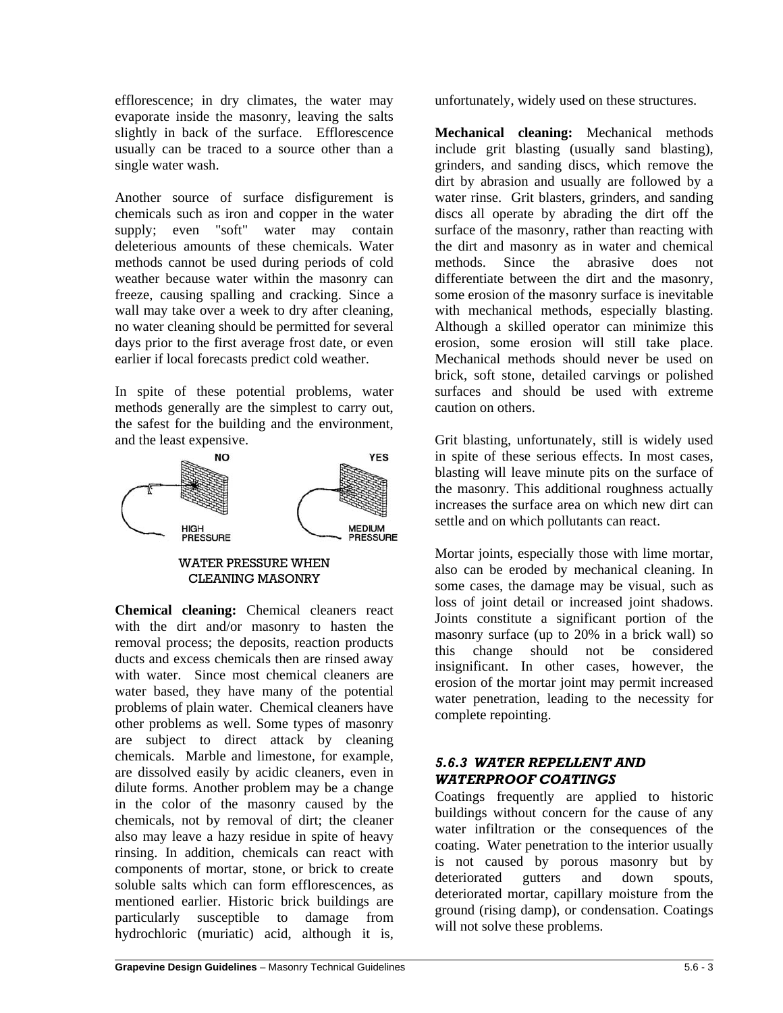efflorescence; in dry climates, the water may evaporate inside the masonry, leaving the salts slightly in back of the surface. Efflorescence usually can be traced to a source other than a single water wash.

Another source of surface disfigurement is chemicals such as iron and copper in the water supply; even "soft" water may contain deleterious amounts of these chemicals. Water methods cannot be used during periods of cold weather because water within the masonry can freeze, causing spalling and cracking. Since a wall may take over a week to dry after cleaning, no water cleaning should be permitted for several days prior to the first average frost date, or even earlier if local forecasts predict cold weather.

In spite of these potential problems, water methods generally are the simplest to carry out, the safest for the building and the environment, and the least expensive.



**Chemical cleaning:** Chemical cleaners react with the dirt and/or masonry to hasten the removal process; the deposits, reaction products ducts and excess chemicals then are rinsed away with water. Since most chemical cleaners are water based, they have many of the potential problems of plain water. Chemical cleaners have other problems as well. Some types of masonry are subject to direct attack by cleaning chemicals. Marble and limestone, for example, are dissolved easily by acidic cleaners, even in dilute forms. Another problem may be a change in the color of the masonry caused by the chemicals, not by removal of dirt; the cleaner also may leave a hazy residue in spite of heavy rinsing. In addition, chemicals can react with components of mortar, stone, or brick to create soluble salts which can form efflorescences, as mentioned earlier. Historic brick buildings are particularly susceptible to damage from hydrochloric (muriatic) acid, although it is, unfortunately, widely used on these structures.

**Mechanical cleaning:** Mechanical methods include grit blasting (usually sand blasting), grinders, and sanding discs, which remove the dirt by abrasion and usually are followed by a water rinse. Grit blasters, grinders, and sanding discs all operate by abrading the dirt off the surface of the masonry, rather than reacting with the dirt and masonry as in water and chemical methods. Since the abrasive does not differentiate between the dirt and the masonry, some erosion of the masonry surface is inevitable with mechanical methods, especially blasting. Although a skilled operator can minimize this erosion, some erosion will still take place. Mechanical methods should never be used on brick, soft stone, detailed carvings or polished surfaces and should be used with extreme caution on others.

Grit blasting, unfortunately, still is widely used in spite of these serious effects. In most cases, blasting will leave minute pits on the surface of the masonry. This additional roughness actually increases the surface area on which new dirt can settle and on which pollutants can react.

Mortar joints, especially those with lime mortar, also can be eroded by mechanical cleaning. In some cases, the damage may be visual, such as loss of joint detail or increased joint shadows. Joints constitute a significant portion of the masonry surface (up to 20% in a brick wall) so this change should not be considered insignificant. In other cases, however, the erosion of the mortar joint may permit increased water penetration, leading to the necessity for complete repointing.

# *5.6.3 WATER REPELLENT AND WATERPROOF COATINGS*

Coatings frequently are applied to historic buildings without concern for the cause of any water infiltration or the consequences of the coating. Water penetration to the interior usually is not caused by porous masonry but by deteriorated gutters and down spouts, deteriorated mortar, capillary moisture from the ground (rising damp), or condensation. Coatings will not solve these problems.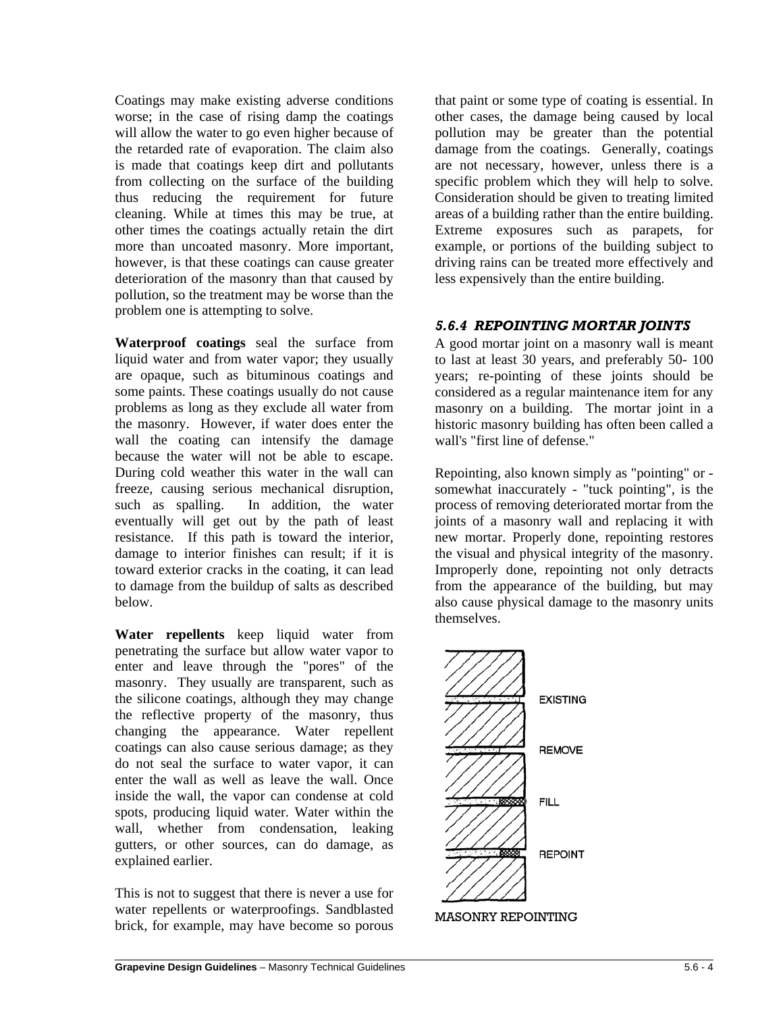Coatings may make existing adverse conditions worse; in the case of rising damp the coatings will allow the water to go even higher because of the retarded rate of evaporation. The claim also is made that coatings keep dirt and pollutants from collecting on the surface of the building thus reducing the requirement for future cleaning. While at times this may be true, at other times the coatings actually retain the dirt more than uncoated masonry. More important, however, is that these coatings can cause greater deterioration of the masonry than that caused by pollution, so the treatment may be worse than the problem one is attempting to solve.

**Waterproof coatings** seal the surface from liquid water and from water vapor; they usually are opaque, such as bituminous coatings and some paints. These coatings usually do not cause problems as long as they exclude all water from the masonry. However, if water does enter the wall the coating can intensify the damage because the water will not be able to escape. During cold weather this water in the wall can freeze, causing serious mechanical disruption, such as spalling. In addition, the water eventually will get out by the path of least resistance. If this path is toward the interior, damage to interior finishes can result; if it is toward exterior cracks in the coating, it can lead to damage from the buildup of salts as described below.

**Water repellents** keep liquid water from penetrating the surface but allow water vapor to enter and leave through the "pores" of the masonry. They usually are transparent, such as the silicone coatings, although they may change the reflective property of the masonry, thus changing the appearance. Water repellent coatings can also cause serious damage; as they do not seal the surface to water vapor, it can enter the wall as well as leave the wall. Once inside the wall, the vapor can condense at cold spots, producing liquid water. Water within the wall, whether from condensation, leaking gutters, or other sources, can do damage, as explained earlier.

This is not to suggest that there is never a use for water repellents or waterproofings. Sandblasted brick, for example, may have become so porous that paint or some type of coating is essential. In other cases, the damage being caused by local pollution may be greater than the potential damage from the coatings. Generally, coatings are not necessary, however, unless there is a specific problem which they will help to solve. Consideration should be given to treating limited areas of a building rather than the entire building. Extreme exposures such as parapets, for example, or portions of the building subject to driving rains can be treated more effectively and less expensively than the entire building.

# *5.6.4 REPOINTING MORTAR JOINTS*

A good mortar joint on a masonry wall is meant to last at least 30 years, and preferably 50- 100 years; re-pointing of these joints should be considered as a regular maintenance item for any masonry on a building. The mortar joint in a historic masonry building has often been called a wall's "first line of defense."

Repointing, also known simply as "pointing" or somewhat inaccurately - "tuck pointing", is the process of removing deteriorated mortar from the joints of a masonry wall and replacing it with new mortar. Properly done, repointing restores the visual and physical integrity of the masonry. Improperly done, repointing not only detracts from the appearance of the building, but may also cause physical damage to the masonry units themselves.

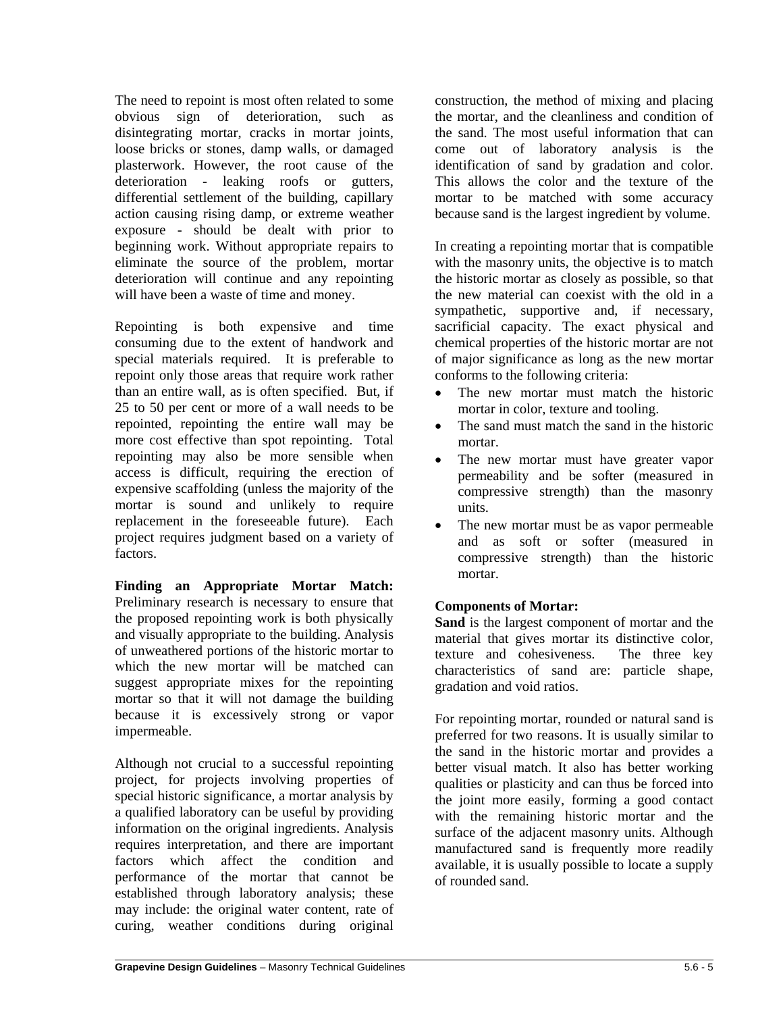The need to repoint is most often related to some obvious sign of deterioration, such as disintegrating mortar, cracks in mortar joints, loose bricks or stones, damp walls, or damaged plasterwork. However, the root cause of the deterioration - leaking roofs or gutters, differential settlement of the building, capillary action causing rising damp, or extreme weather exposure - should be dealt with prior to beginning work. Without appropriate repairs to eliminate the source of the problem, mortar deterioration will continue and any repointing will have been a waste of time and money.

Repointing is both expensive and time consuming due to the extent of handwork and special materials required. It is preferable to repoint only those areas that require work rather than an entire wall, as is often specified. But, if 25 to 50 per cent or more of a wall needs to be repointed, repointing the entire wall may be more cost effective than spot repointing. Total repointing may also be more sensible when access is difficult, requiring the erection of expensive scaffolding (unless the majority of the mortar is sound and unlikely to require replacement in the foreseeable future). Each project requires judgment based on a variety of factors.

**Finding an Appropriate Mortar Match:** Preliminary research is necessary to ensure that the proposed repointing work is both physically and visually appropriate to the building. Analysis of unweathered portions of the historic mortar to which the new mortar will be matched can suggest appropriate mixes for the repointing mortar so that it will not damage the building because it is excessively strong or vapor impermeable.

Although not crucial to a successful repointing project, for projects involving properties of special historic significance, a mortar analysis by a qualified laboratory can be useful by providing information on the original ingredients. Analysis requires interpretation, and there are important factors which affect the condition and performance of the mortar that cannot be established through laboratory analysis; these may include: the original water content, rate of curing, weather conditions during original

construction, the method of mixing and placing the mortar, and the cleanliness and condition of the sand. The most useful information that can come out of laboratory analysis is the identification of sand by gradation and color. This allows the color and the texture of the mortar to be matched with some accuracy because sand is the largest ingredient by volume.

In creating a repointing mortar that is compatible with the masonry units, the objective is to match the historic mortar as closely as possible, so that the new material can coexist with the old in a sympathetic, supportive and, if necessary, sacrificial capacity. The exact physical and chemical properties of the historic mortar are not of major significance as long as the new mortar conforms to the following criteria:

- The new mortar must match the historic mortar in color, texture and tooling.
- The sand must match the sand in the historic mortar.
- The new mortar must have greater vapor permeability and be softer (measured in compressive strength) than the masonry units.
- The new mortar must be as vapor permeable and as soft or softer (measured in compressive strength) than the historic mortar.

# **Components of Mortar:**

**Sand** is the largest component of mortar and the material that gives mortar its distinctive color, texture and cohesiveness. The three key characteristics of sand are: particle shape, gradation and void ratios.

For repointing mortar, rounded or natural sand is preferred for two reasons. It is usually similar to the sand in the historic mortar and provides a better visual match. It also has better working qualities or plasticity and can thus be forced into the joint more easily, forming a good contact with the remaining historic mortar and the surface of the adjacent masonry units. Although manufactured sand is frequently more readily available, it is usually possible to locate a supply of rounded sand.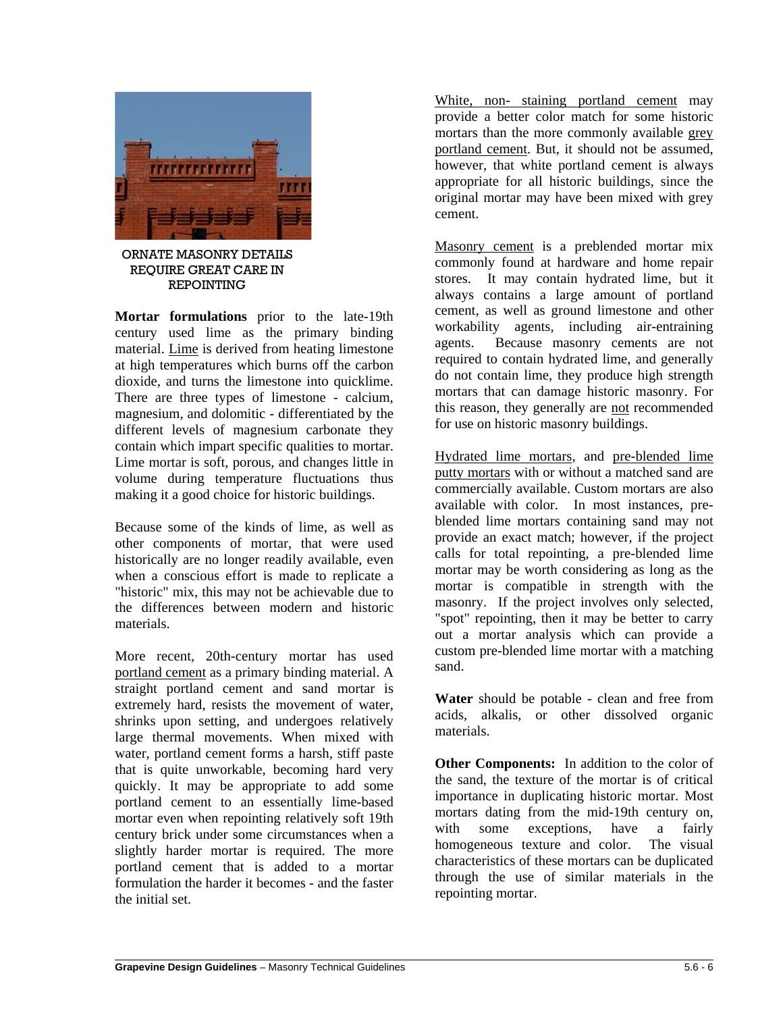

ORNATE MASONRY DETAILS REQUIRE GREAT CARE IN REPOINTING

**Mortar formulations** prior to the late-19th century used lime as the primary binding material. Lime is derived from heating limestone at high temperatures which burns off the carbon dioxide, and turns the limestone into quicklime. There are three types of limestone - calcium, magnesium, and dolomitic - differentiated by the different levels of magnesium carbonate they contain which impart specific qualities to mortar. Lime mortar is soft, porous, and changes little in volume during temperature fluctuations thus making it a good choice for historic buildings.

Because some of the kinds of lime, as well as other components of mortar, that were used historically are no longer readily available, even when a conscious effort is made to replicate a "historic" mix, this may not be achievable due to the differences between modern and historic materials.

More recent, 20th-century mortar has used portland cement as a primary binding material. A straight portland cement and sand mortar is extremely hard, resists the movement of water, shrinks upon setting, and undergoes relatively large thermal movements. When mixed with water, portland cement forms a harsh, stiff paste that is quite unworkable, becoming hard very quickly. It may be appropriate to add some portland cement to an essentially lime-based mortar even when repointing relatively soft 19th century brick under some circumstances when a slightly harder mortar is required. The more portland cement that is added to a mortar formulation the harder it becomes - and the faster the initial set.

White, non- staining portland cement may provide a better color match for some historic mortars than the more commonly available grey portland cement. But, it should not be assumed, however, that white portland cement is always appropriate for all historic buildings, since the original mortar may have been mixed with grey cement.

Masonry cement is a preblended mortar mix commonly found at hardware and home repair stores. It may contain hydrated lime, but it always contains a large amount of portland cement, as well as ground limestone and other workability agents, including air-entraining agents. Because masonry cements are not required to contain hydrated lime, and generally do not contain lime, they produce high strength mortars that can damage historic masonry. For this reason, they generally are not recommended for use on historic masonry buildings.

Hydrated lime mortars, and pre-blended lime putty mortars with or without a matched sand are commercially available. Custom mortars are also available with color. In most instances, preblended lime mortars containing sand may not provide an exact match; however, if the project calls for total repointing, a pre-blended lime mortar may be worth considering as long as the mortar is compatible in strength with the masonry. If the project involves only selected, "spot" repointing, then it may be better to carry out a mortar analysis which can provide a custom pre-blended lime mortar with a matching sand.

**Water** should be potable - clean and free from acids, alkalis, or other dissolved organic materials.

**Other Components:** In addition to the color of the sand, the texture of the mortar is of critical importance in duplicating historic mortar. Most mortars dating from the mid-19th century on, with some exceptions, have a fairly homogeneous texture and color. The visual characteristics of these mortars can be duplicated through the use of similar materials in the repointing mortar.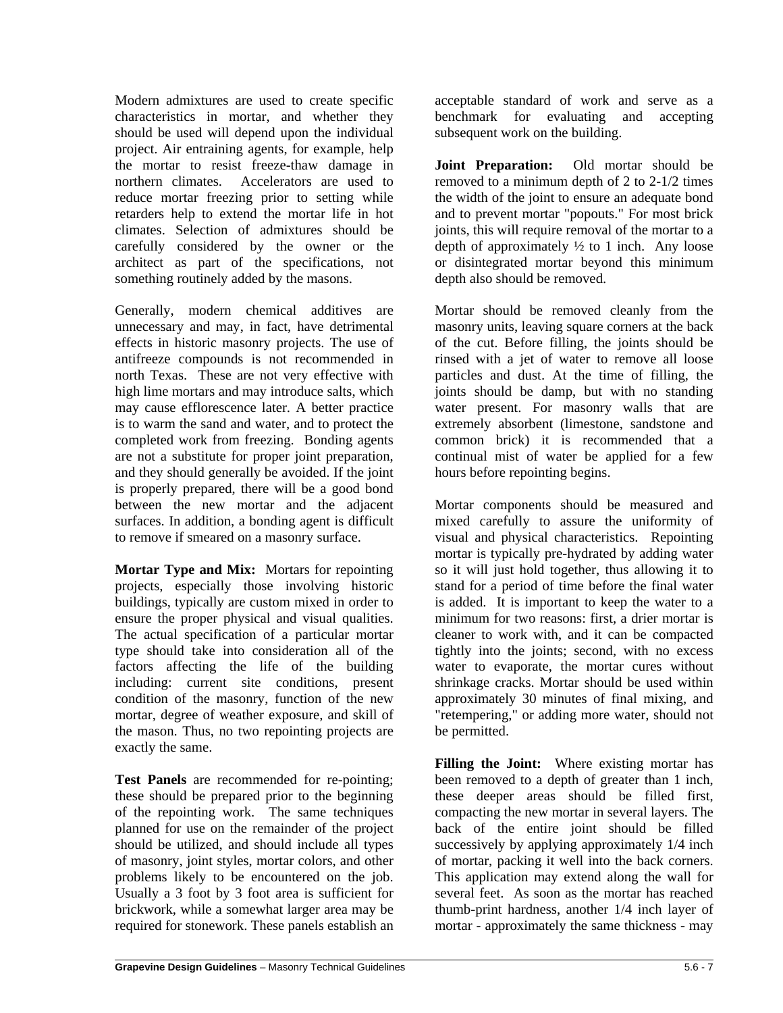Modern admixtures are used to create specific characteristics in mortar, and whether they should be used will depend upon the individual project. Air entraining agents, for example, help the mortar to resist freeze-thaw damage in northern climates. Accelerators are used to reduce mortar freezing prior to setting while retarders help to extend the mortar life in hot climates. Selection of admixtures should be carefully considered by the owner or the architect as part of the specifications, not something routinely added by the masons.

Generally, modern chemical additives are unnecessary and may, in fact, have detrimental effects in historic masonry projects. The use of antifreeze compounds is not recommended in north Texas. These are not very effective with high lime mortars and may introduce salts, which may cause efflorescence later. A better practice is to warm the sand and water, and to protect the completed work from freezing. Bonding agents are not a substitute for proper joint preparation, and they should generally be avoided. If the joint is properly prepared, there will be a good bond between the new mortar and the adjacent surfaces. In addition, a bonding agent is difficult to remove if smeared on a masonry surface.

**Mortar Type and Mix:** Mortars for repointing projects, especially those involving historic buildings, typically are custom mixed in order to ensure the proper physical and visual qualities. The actual specification of a particular mortar type should take into consideration all of the factors affecting the life of the building including: current site conditions, present condition of the masonry, function of the new mortar, degree of weather exposure, and skill of the mason. Thus, no two repointing projects are exactly the same.

**Test Panels** are recommended for re-pointing; these should be prepared prior to the beginning of the repointing work. The same techniques planned for use on the remainder of the project should be utilized, and should include all types of masonry, joint styles, mortar colors, and other problems likely to be encountered on the job. Usually a 3 foot by 3 foot area is sufficient for brickwork, while a somewhat larger area may be required for stonework. These panels establish an

acceptable standard of work and serve as a benchmark for evaluating and accepting subsequent work on the building.

**Joint Preparation:** Old mortar should be removed to a minimum depth of 2 to 2-1/2 times the width of the joint to ensure an adequate bond and to prevent mortar "popouts." For most brick joints, this will require removal of the mortar to a depth of approximately  $\frac{1}{2}$  to 1 inch. Any loose or disintegrated mortar beyond this minimum depth also should be removed.

Mortar should be removed cleanly from the masonry units, leaving square corners at the back of the cut. Before filling, the joints should be rinsed with a jet of water to remove all loose particles and dust. At the time of filling, the joints should be damp, but with no standing water present. For masonry walls that are extremely absorbent (limestone, sandstone and common brick) it is recommended that a continual mist of water be applied for a few hours before repointing begins.

Mortar components should be measured and mixed carefully to assure the uniformity of visual and physical characteristics. Repointing mortar is typically pre-hydrated by adding water so it will just hold together, thus allowing it to stand for a period of time before the final water is added. It is important to keep the water to a minimum for two reasons: first, a drier mortar is cleaner to work with, and it can be compacted tightly into the joints; second, with no excess water to evaporate, the mortar cures without shrinkage cracks. Mortar should be used within approximately 30 minutes of final mixing, and "retempering," or adding more water, should not be permitted.

**Filling the Joint:** Where existing mortar has been removed to a depth of greater than 1 inch, these deeper areas should be filled first, compacting the new mortar in several layers. The back of the entire joint should be filled successively by applying approximately 1/4 inch of mortar, packing it well into the back corners. This application may extend along the wall for several feet. As soon as the mortar has reached thumb-print hardness, another 1/4 inch layer of mortar - approximately the same thickness - may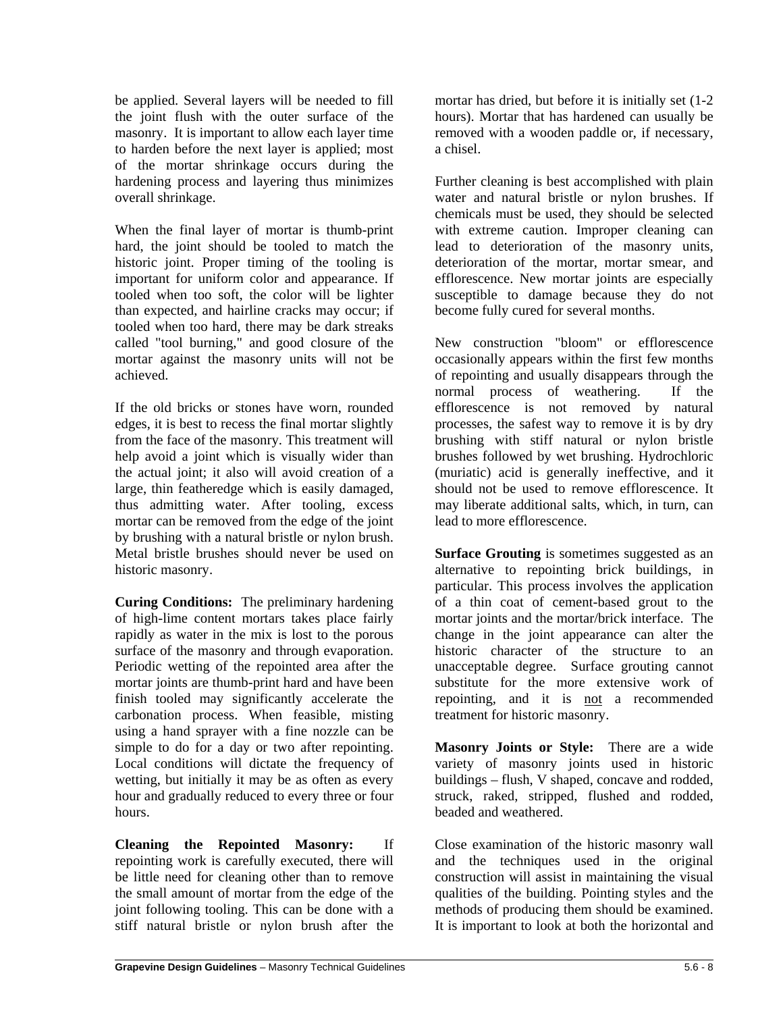be applied. Several layers will be needed to fill the joint flush with the outer surface of the masonry. It is important to allow each layer time to harden before the next layer is applied; most of the mortar shrinkage occurs during the hardening process and layering thus minimizes overall shrinkage.

When the final layer of mortar is thumb-print hard, the joint should be tooled to match the historic joint. Proper timing of the tooling is important for uniform color and appearance. If tooled when too soft, the color will be lighter than expected, and hairline cracks may occur; if tooled when too hard, there may be dark streaks called "tool burning," and good closure of the mortar against the masonry units will not be achieved.

If the old bricks or stones have worn, rounded edges, it is best to recess the final mortar slightly from the face of the masonry. This treatment will help avoid a joint which is visually wider than the actual joint; it also will avoid creation of a large, thin featheredge which is easily damaged, thus admitting water. After tooling, excess mortar can be removed from the edge of the joint by brushing with a natural bristle or nylon brush. Metal bristle brushes should never be used on historic masonry.

**Curing Conditions:** The preliminary hardening of high-lime content mortars takes place fairly rapidly as water in the mix is lost to the porous surface of the masonry and through evaporation. Periodic wetting of the repointed area after the mortar joints are thumb-print hard and have been finish tooled may significantly accelerate the carbonation process. When feasible, misting using a hand sprayer with a fine nozzle can be simple to do for a day or two after repointing. Local conditions will dictate the frequency of wetting, but initially it may be as often as every hour and gradually reduced to every three or four hours.

**Cleaning the Repointed Masonry:** If repointing work is carefully executed, there will be little need for cleaning other than to remove the small amount of mortar from the edge of the joint following tooling. This can be done with a stiff natural bristle or nylon brush after the

mortar has dried, but before it is initially set (1-2 hours). Mortar that has hardened can usually be removed with a wooden paddle or, if necessary, a chisel.

Further cleaning is best accomplished with plain water and natural bristle or nylon brushes. If chemicals must be used, they should be selected with extreme caution. Improper cleaning can lead to deterioration of the masonry units, deterioration of the mortar, mortar smear, and efflorescence. New mortar joints are especially susceptible to damage because they do not become fully cured for several months.

New construction "bloom" or efflorescence occasionally appears within the first few months of repointing and usually disappears through the normal process of weathering. If the efflorescence is not removed by natural processes, the safest way to remove it is by dry brushing with stiff natural or nylon bristle brushes followed by wet brushing. Hydrochloric (muriatic) acid is generally ineffective, and it should not be used to remove efflorescence. It may liberate additional salts, which, in turn, can lead to more efflorescence.

**Surface Grouting** is sometimes suggested as an alternative to repointing brick buildings, in particular. This process involves the application of a thin coat of cement-based grout to the mortar joints and the mortar/brick interface. The change in the joint appearance can alter the historic character of the structure to an unacceptable degree. Surface grouting cannot substitute for the more extensive work of repointing, and it is not a recommended treatment for historic masonry.

**Masonry Joints or Style:** There are a wide variety of masonry joints used in historic buildings – flush, V shaped, concave and rodded, struck, raked, stripped, flushed and rodded, beaded and weathered.

Close examination of the historic masonry wall and the techniques used in the original construction will assist in maintaining the visual qualities of the building. Pointing styles and the methods of producing them should be examined. It is important to look at both the horizontal and